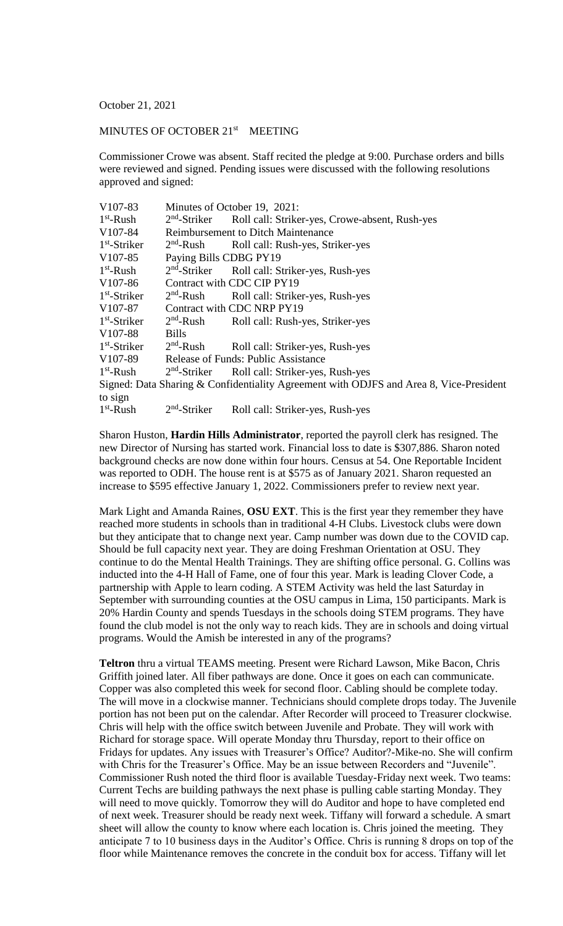October 21, 2021

## MINUTES OF OCTOBER 21<sup>st</sup> MEETING

Commissioner Crowe was absent. Staff recited the pledge at 9:00. Purchase orders and bills were reviewed and signed. Pending issues were discussed with the following resolutions approved and signed:

| V107-83                                                                                | Minutes of October 19, 2021:              |                                                           |
|----------------------------------------------------------------------------------------|-------------------------------------------|-----------------------------------------------------------|
| $1st$ -Rush                                                                            | $2nd$ -Striker                            | Roll call: Striker-yes, Crowe-absent, Rush-yes            |
| V <sub>107-84</sub>                                                                    | <b>Reimbursement to Ditch Maintenance</b> |                                                           |
| $1st$ -Striker                                                                         |                                           | 2 <sup>nd</sup> -Rush Roll call: Rush-yes, Striker-yes    |
| V <sub>107</sub> -85                                                                   | Paying Bills CDBG PY19                    |                                                           |
| $1st$ -Rush                                                                            |                                           | 2 <sup>nd</sup> -Striker Roll call: Striker-yes, Rush-yes |
| V <sub>107-86</sub>                                                                    | Contract with CDC CIP PY19                |                                                           |
| $1st$ -Striker                                                                         | $2nd$ -Rush                               | Roll call: Striker-yes, Rush-yes                          |
| V <sub>107-87</sub>                                                                    | Contract with CDC NRP PY19                |                                                           |
| $1st$ -Striker                                                                         | $2nd$ -Rush                               | Roll call: Rush-yes, Striker-yes                          |
| V <sub>107-88</sub>                                                                    | <b>Bills</b>                              |                                                           |
| $1st$ -Striker                                                                         | $2nd$ -Rush                               | Roll call: Striker-yes, Rush-yes                          |
| V <sub>107-89</sub>                                                                    | Release of Funds: Public Assistance       |                                                           |
| $1st$ -Rush                                                                            |                                           | 2 <sup>nd</sup> -Striker Roll call: Striker-yes, Rush-yes |
| Signed: Data Sharing & Confidentiality Agreement with ODJFS and Area 8, Vice-President |                                           |                                                           |
| to sign                                                                                |                                           |                                                           |
| $1st$ -Rush                                                                            | $2nd$ -Striker                            | Roll call: Striker-yes, Rush-yes                          |

Sharon Huston, **Hardin Hills Administrator**, reported the payroll clerk has resigned. The new Director of Nursing has started work. Financial loss to date is \$307,886. Sharon noted background checks are now done within four hours. Census at 54. One Reportable Incident was reported to ODH. The house rent is at \$575 as of January 2021. Sharon requested an increase to \$595 effective January 1, 2022. Commissioners prefer to review next year.

Mark Light and Amanda Raines, **OSU EXT**. This is the first year they remember they have reached more students in schools than in traditional 4-H Clubs. Livestock clubs were down but they anticipate that to change next year. Camp number was down due to the COVID cap. Should be full capacity next year. They are doing Freshman Orientation at OSU. They continue to do the Mental Health Trainings. They are shifting office personal. G. Collins was inducted into the 4-H Hall of Fame, one of four this year. Mark is leading Clover Code, a partnership with Apple to learn coding. A STEM Activity was held the last Saturday in September with surrounding counties at the OSU campus in Lima, 150 participants. Mark is 20% Hardin County and spends Tuesdays in the schools doing STEM programs. They have found the club model is not the only way to reach kids. They are in schools and doing virtual programs. Would the Amish be interested in any of the programs?

**Teltron** thru a virtual TEAMS meeting. Present were Richard Lawson, Mike Bacon, Chris Griffith joined later. All fiber pathways are done. Once it goes on each can communicate. Copper was also completed this week for second floor. Cabling should be complete today. The will move in a clockwise manner. Technicians should complete drops today. The Juvenile portion has not been put on the calendar. After Recorder will proceed to Treasurer clockwise. Chris will help with the office switch between Juvenile and Probate. They will work with Richard for storage space. Will operate Monday thru Thursday, report to their office on Fridays for updates. Any issues with Treasurer's Office? Auditor?-Mike-no. She will confirm with Chris for the Treasurer's Office. May be an issue between Recorders and "Juvenile". Commissioner Rush noted the third floor is available Tuesday-Friday next week. Two teams: Current Techs are building pathways the next phase is pulling cable starting Monday. They will need to move quickly. Tomorrow they will do Auditor and hope to have completed end of next week. Treasurer should be ready next week. Tiffany will forward a schedule. A smart sheet will allow the county to know where each location is. Chris joined the meeting. They anticipate 7 to 10 business days in the Auditor's Office. Chris is running 8 drops on top of the floor while Maintenance removes the concrete in the conduit box for access. Tiffany will let